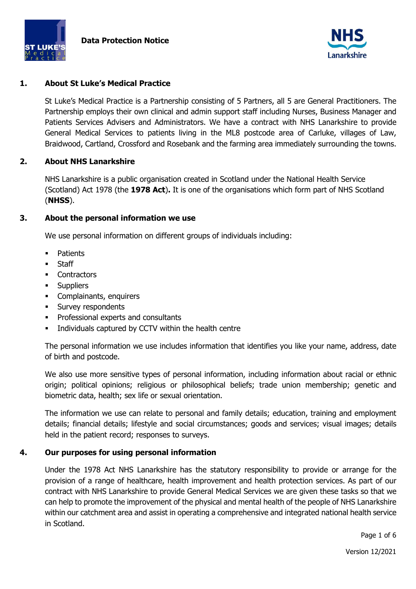



### **1. About St Luke's Medical Practice**

St Luke's Medical Practice is a Partnership consisting of 5 Partners, all 5 are General Practitioners. The Partnership employs their own clinical and admin support staff including Nurses, Business Manager and Patients Services Advisers and Administrators. We have a contract with NHS Lanarkshire to provide General Medical Services to patients living in the ML8 postcode area of Carluke, villages of Law, Braidwood, Cartland, Crossford and Rosebank and the farming area immediately surrounding the towns.

#### **2. About NHS Lanarkshire**

NHS Lanarkshire is a public organisation created in Scotland under the National Health Service (Scotland) Act 1978 (the **1978 Act**)**.** It is one of the organisations which form part of NHS Scotland (**NHSS**).

### **3. About the personal information we use**

We use personal information on different groups of individuals including:

- **Patients**
- **Staff**
- Contractors
- **Suppliers**
- Complainants, enquirers
- **Survey respondents**
- **•** Professional experts and consultants
- Individuals captured by CCTV within the health centre

The personal information we use includes information that identifies you like your name, address, date of birth and postcode.

We also use more sensitive types of personal information, including information about racial or ethnic origin; political opinions; religious or philosophical beliefs; trade union membership; genetic and biometric data, health; sex life or sexual orientation.

The information we use can relate to personal and family details; education, training and employment details; financial details; lifestyle and social circumstances; goods and services; visual images; details held in the patient record; responses to surveys.

#### **4. Our purposes for using personal information**

Under the 1978 Act NHS Lanarkshire has the statutory responsibility to provide or arrange for the provision of a range of healthcare, health improvement and health protection services. As part of our contract with NHS Lanarkshire to provide General Medical Services we are given these tasks so that we can help to promote the improvement of the physical and mental health of the people of NHS Lanarkshire within our catchment area and assist in operating a comprehensive and integrated national health service in Scotland.

Page 1 of 6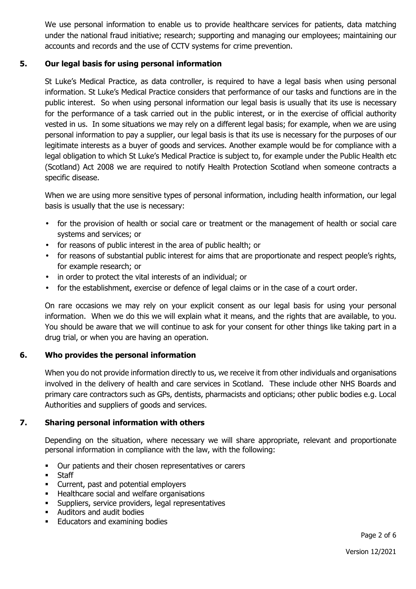We use personal information to enable us to provide healthcare services for patients, data matching under the national fraud initiative; research; supporting and managing our employees; maintaining our accounts and records and the use of CCTV systems for crime prevention.

# **5. Our legal basis for using personal information**

St Luke's Medical Practice, as data controller, is required to have a legal basis when using personal information. St Luke's Medical Practice considers that performance of our tasks and functions are in the public interest. So when using personal information our legal basis is usually that its use is necessary for the performance of a task carried out in the public interest, or in the exercise of official authority vested in us. In some situations we may rely on a different legal basis; for example, when we are using personal information to pay a supplier, our legal basis is that its use is necessary for the purposes of our legitimate interests as a buyer of goods and services. Another example would be for compliance with a legal obligation to which St Luke's Medical Practice is subject to, for example under the Public Health etc (Scotland) Act 2008 we are required to notify Health Protection Scotland when someone contracts a specific disease.

When we are using more sensitive types of personal information, including health information, our legal basis is usually that the use is necessary:

- for the provision of health or social care or treatment or the management of health or social care systems and services; or
- for reasons of public interest in the area of public health; or
- for reasons of substantial public interest for aims that are proportionate and respect people's rights, for example research; or
- in order to protect the vital interests of an individual; or
- for the establishment, exercise or defence of legal claims or in the case of a court order.

On rare occasions we may rely on your explicit consent as our legal basis for using your personal information. When we do this we will explain what it means, and the rights that are available, to you. You should be aware that we will continue to ask for your consent for other things like taking part in a drug trial, or when you are having an operation.

## **6. Who provides the personal information**

When you do not provide information directly to us, we receive it from other individuals and organisations involved in the delivery of health and care services in Scotland. These include other NHS Boards and primary care contractors such as GPs, dentists, pharmacists and opticians; other public bodies e.g. Local Authorities and suppliers of goods and services.

# **7. Sharing personal information with others**

Depending on the situation, where necessary we will share appropriate, relevant and proportionate personal information in compliance with the law, with the following:

- Our patients and their chosen representatives or carers
- **Staff**
- Current, past and potential employers
- **Healthcare social and welfare organisations**
- Suppliers, service providers, legal representatives
- Auditors and audit bodies
- **Educators and examining bodies**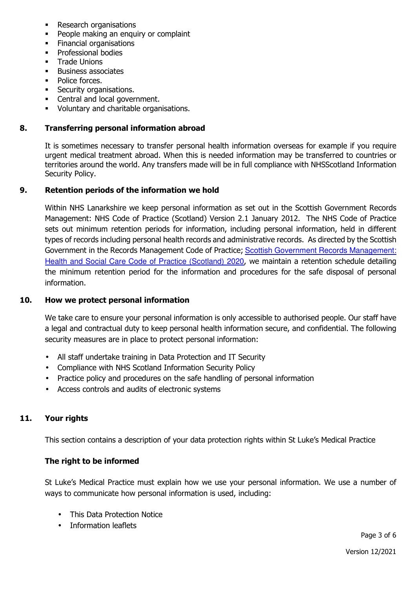- Research organisations
- People making an enquiry or complaint
- Financial organisations
- **•** Professional bodies
- **Trade Unions**
- **Business associates**
- Police forces.
- **Security organisations.**
- Central and local government.
- Voluntary and charitable organisations.

### **8. Transferring personal information abroad**

It is sometimes necessary to transfer personal health information overseas for example if you require urgent medical treatment abroad. When this is needed information may be transferred to countries or territories around the world. Any transfers made will be in full compliance with NHSScotland Information Security Policy.

### **9. Retention periods of the information we hold**

Within NHS Lanarkshire we keep personal information as set out in the Scottish Government Records Management: NHS Code of Practice (Scotland) Version 2.1 January 2012. The NHS Code of Practice sets out minimum retention periods for information, including personal information, held in different types of records including personal health records and administrative records. As directed by the Scottish Government in the Records Management Code of Practice; Scottish Government Records Management: Health and Social Care Code of Practice (Scotland) 2020, we maintain a retention schedule detailing the minimum retention period for the information and procedures for the safe disposal of personal information.

#### **10. How we protect personal information**

We take care to ensure your personal information is only accessible to authorised people. Our staff have a legal and contractual duty to keep personal health information secure, and confidential. The following security measures are in place to protect personal information:

- All staff undertake training in Data Protection and IT Security
- Compliance with NHS Scotland Information Security Policy
- Practice policy and procedures on the safe handling of personal information
- Access controls and audits of electronic systems

## **11. Your rights**

This section contains a description of your data protection rights within St Luke's Medical Practice

#### **The right to be informed**

St Luke's Medical Practice must explain how we use your personal information. We use a number of ways to communicate how personal information is used, including:

- This Data Protection Notice
- Information leaflets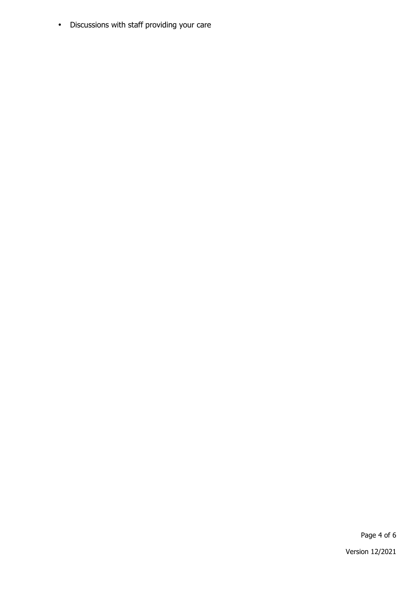• Discussions with staff providing your care

Page 4 of 6

Version 12/2021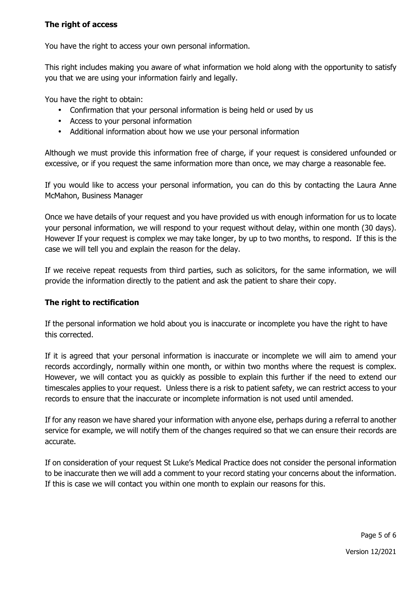# **The right of access**

You have the right to access your own personal information.

This right includes making you aware of what information we hold along with the opportunity to satisfy you that we are using your information fairly and legally.

You have the right to obtain:

- Confirmation that your personal information is being held or used by us
- Access to your personal information
- Additional information about how we use your personal information

Although we must provide this information free of charge, if your request is considered unfounded or excessive, or if you request the same information more than once, we may charge a reasonable fee.

If you would like to access your personal information, you can do this by contacting the Laura Anne McMahon, Business Manager

Once we have details of your request and you have provided us with enough information for us to locate your personal information, we will respond to your request without delay, within one month (30 days). However If your request is complex we may take longer, by up to two months, to respond. If this is the case we will tell you and explain the reason for the delay.

If we receive repeat requests from third parties, such as solicitors, for the same information, we will provide the information directly to the patient and ask the patient to share their copy.

## **The right to rectification**

If the personal information we hold about you is inaccurate or incomplete you have the right to have this corrected.

If it is agreed that your personal information is inaccurate or incomplete we will aim to amend your records accordingly, normally within one month, or within two months where the request is complex. However, we will contact you as quickly as possible to explain this further if the need to extend our timescales applies to your request. Unless there is a risk to patient safety, we can restrict access to your records to ensure that the inaccurate or incomplete information is not used until amended.

If for any reason we have shared your information with anyone else, perhaps during a referral to another service for example, we will notify them of the changes required so that we can ensure their records are accurate.

If on consideration of your request St Luke's Medical Practice does not consider the personal information to be inaccurate then we will add a comment to your record stating your concerns about the information. If this is case we will contact you within one month to explain our reasons for this.